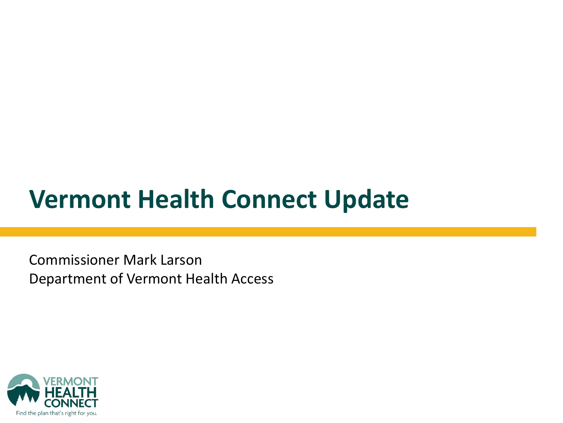### **Vermont Health Connect Update**

Commissioner Mark Larson Department of Vermont Health Access

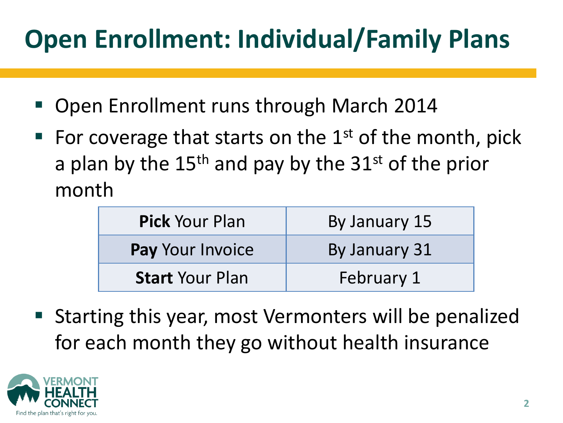# **Open Enrollment: Individual/Family Plans**

- Open Enrollment runs through March 2014
- For coverage that starts on the  $1<sup>st</sup>$  of the month, pick a plan by the  $15<sup>th</sup>$  and pay by the  $31<sup>st</sup>$  of the prior month

| <b>Pick Your Plan</b>   | By January 15 |
|-------------------------|---------------|
| <b>Pay Your Invoice</b> | By January 31 |
| <b>Start Your Plan</b>  | February 1    |

■ Starting this year, most Vermonters will be penalized for each month they go without health insurance

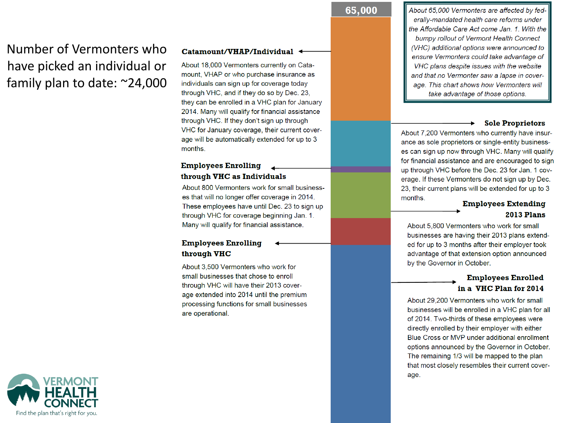### Number of Vermonters who have picked an individual or family plan to date:  $\approx$ 24,000

#### Catamount/VHAP/Individual <

About 18,000 Vermonters currently on Catamount, VHAP or who purchase insurance as individuals can sign up for coverage today through VHC, and if they do so by Dec. 23, they can be enrolled in a VHC plan for January 2014. Many will qualify for financial assistance through VHC. If they don't sign up through VHC for January coverage, their current coverage will be automatically extended for up to 3 months.

#### **Employees Enrolling** through VHC as Individuals

About 800 Vermonters work for small businesses that will no longer offer coverage in 2014. These employees have until Dec. 23 to sign up through VHC for coverage beginning Jan. 1. Many will qualify for financial assistance.

#### **Employees Enrolling** through VHC

About 3,500 Vermonters who work for small businesses that chose to enroll through VHC will have their 2013 coverage extended into 2014 until the premium processing functions for small businesses are operational.

#### 65,000

About 65,000 Vermonters are affected by federally-mandated health care reforms under the Affordable Care Act come Jan. 1. With the bumpy rollout of Vermont Health Connect (VHC) additional options were announced to ensure Vermonters could take advantage of VHC plans despite issues with the website and that no Vermonter saw a lapse in coverage. This chart shows how Vermonters will take advantage of those options.

#### **Sole Proprietors**

About 7,200 Vermonters who currently have insurance as sole proprietors or single-entity businesses can sign up now through VHC. Many will qualify for financial assistance and are encouraged to sign up through VHC before the Dec. 23 for Jan. 1 coverage. If these Vermonters do not sign up by Dec. 23, their current plans will be extended for up to 3 months.

#### **Employees Extending 2013 Plans**

About 5,800 Vermonters who work for small businesses are having their 2013 plans extended for up to 3 months after their employer took advantage of that extension option announced by the Governor in October.

#### **Employees Enrolled** in a VHC Plan for 2014

About 29,200 Vermonters who work for small businesses will be enrolled in a VHC plan for all of 2014. Two-thirds of these employees were directly enrolled by their employer with either Blue Cross or MVP under additional enrollment options announced by the Governor in October. The remaining 1/3 will be mapped to the plan that most closely resembles their current coverage.

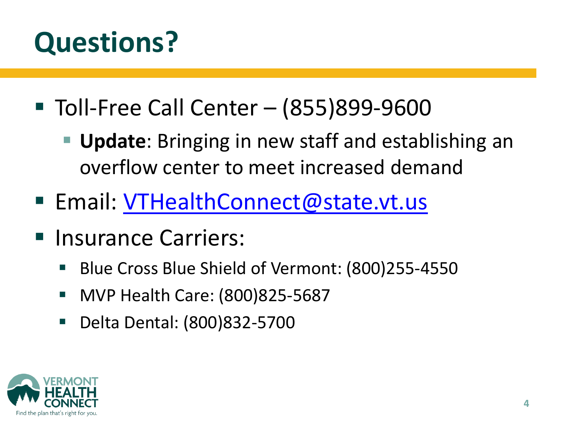# **Questions?**

- Toll-Free Call Center (855)899-9600
	- **Update**: Bringing in new staff and establishing an overflow center to meet increased demand
- Email: [VTHealthConnect@state.vt.us](mailto:VTHealthConnect@state.vt.us)
- **Insurance Carriers:** 
	- Blue Cross Blue Shield of Vermont: (800)255-4550
	- MVP Health Care: (800)825-5687
	- Delta Dental: (800)832-5700

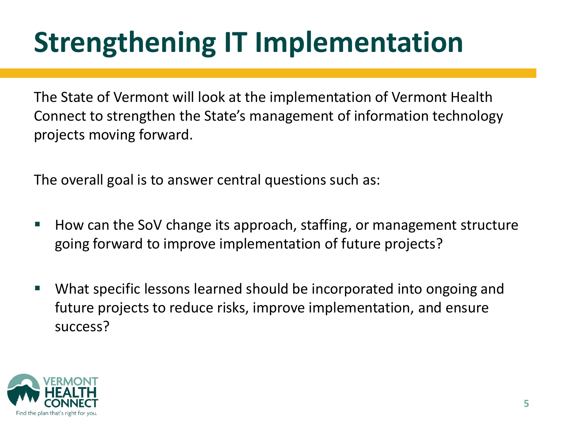# **Strengthening IT Implementation**

The State of Vermont will look at the implementation of Vermont Health Connect to strengthen the State's management of information technology projects moving forward.

The overall goal is to answer central questions such as:

- How can the SoV change its approach, staffing, or management structure going forward to improve implementation of future projects?
- What specific lessons learned should be incorporated into ongoing and future projects to reduce risks, improve implementation, and ensure success?